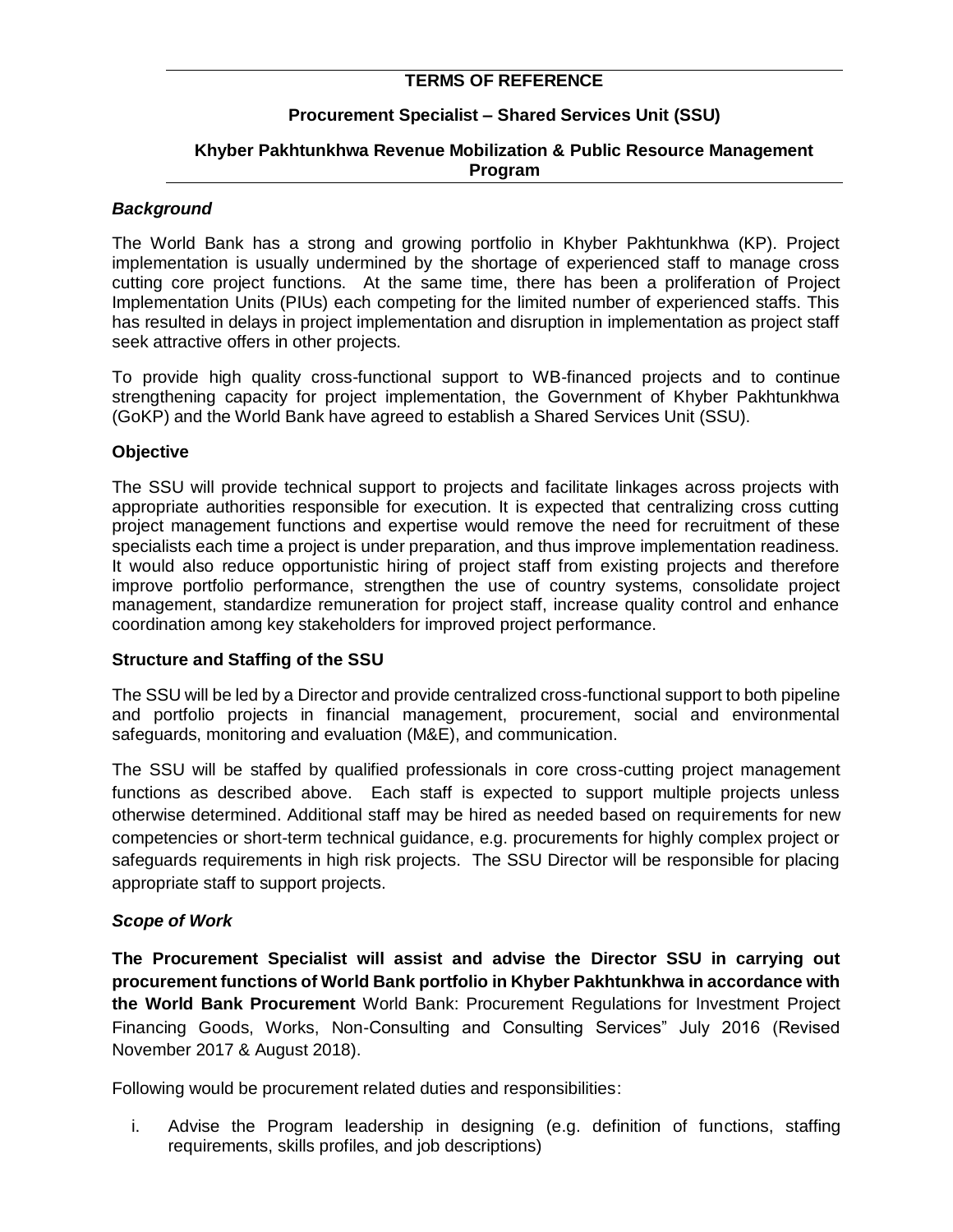## **TERMS OF REFERENCE**

### **Procurement Specialist – Shared Services Unit (SSU)**

### **Khyber Pakhtunkhwa Revenue Mobilization & Public Resource Management Program**

#### *Background*

The World Bank has a strong and growing portfolio in Khyber Pakhtunkhwa (KP). Project implementation is usually undermined by the shortage of experienced staff to manage cross cutting core project functions. At the same time, there has been a proliferation of Project Implementation Units (PIUs) each competing for the limited number of experienced staffs. This has resulted in delays in project implementation and disruption in implementation as project staff seek attractive offers in other projects.

To provide high quality cross-functional support to WB-financed projects and to continue strengthening capacity for project implementation, the Government of Khyber Pakhtunkhwa (GoKP) and the World Bank have agreed to establish a Shared Services Unit (SSU).

#### **Objective**

The SSU will provide technical support to projects and facilitate linkages across projects with appropriate authorities responsible for execution. It is expected that centralizing cross cutting project management functions and expertise would remove the need for recruitment of these specialists each time a project is under preparation, and thus improve implementation readiness. It would also reduce opportunistic hiring of project staff from existing projects and therefore improve portfolio performance, strengthen the use of country systems, consolidate project management, standardize remuneration for project staff, increase quality control and enhance coordination among key stakeholders for improved project performance.

#### **Structure and Staffing of the SSU**

The SSU will be led by a Director and provide centralized cross-functional support to both pipeline and portfolio projects in financial management, procurement, social and environmental safeguards, monitoring and evaluation (M&E), and communication.

The SSU will be staffed by qualified professionals in core cross-cutting project management functions as described above. Each staff is expected to support multiple projects unless otherwise determined. Additional staff may be hired as needed based on requirements for new competencies or short-term technical guidance, e.g. procurements for highly complex project or safeguards requirements in high risk projects. The SSU Director will be responsible for placing appropriate staff to support projects.

### *Scope of Work*

**The Procurement Specialist will assist and advise the Director SSU in carrying out procurement functions of World Bank portfolio in Khyber Pakhtunkhwa in accordance with the World Bank Procurement** World Bank: Procurement Regulations for Investment Project Financing Goods, Works, Non-Consulting and Consulting Services" July 2016 (Revised November 2017 & August 2018).

Following would be procurement related duties and responsibilities:

i. Advise the Program leadership in designing (e.g. definition of functions, staffing requirements, skills profiles, and job descriptions)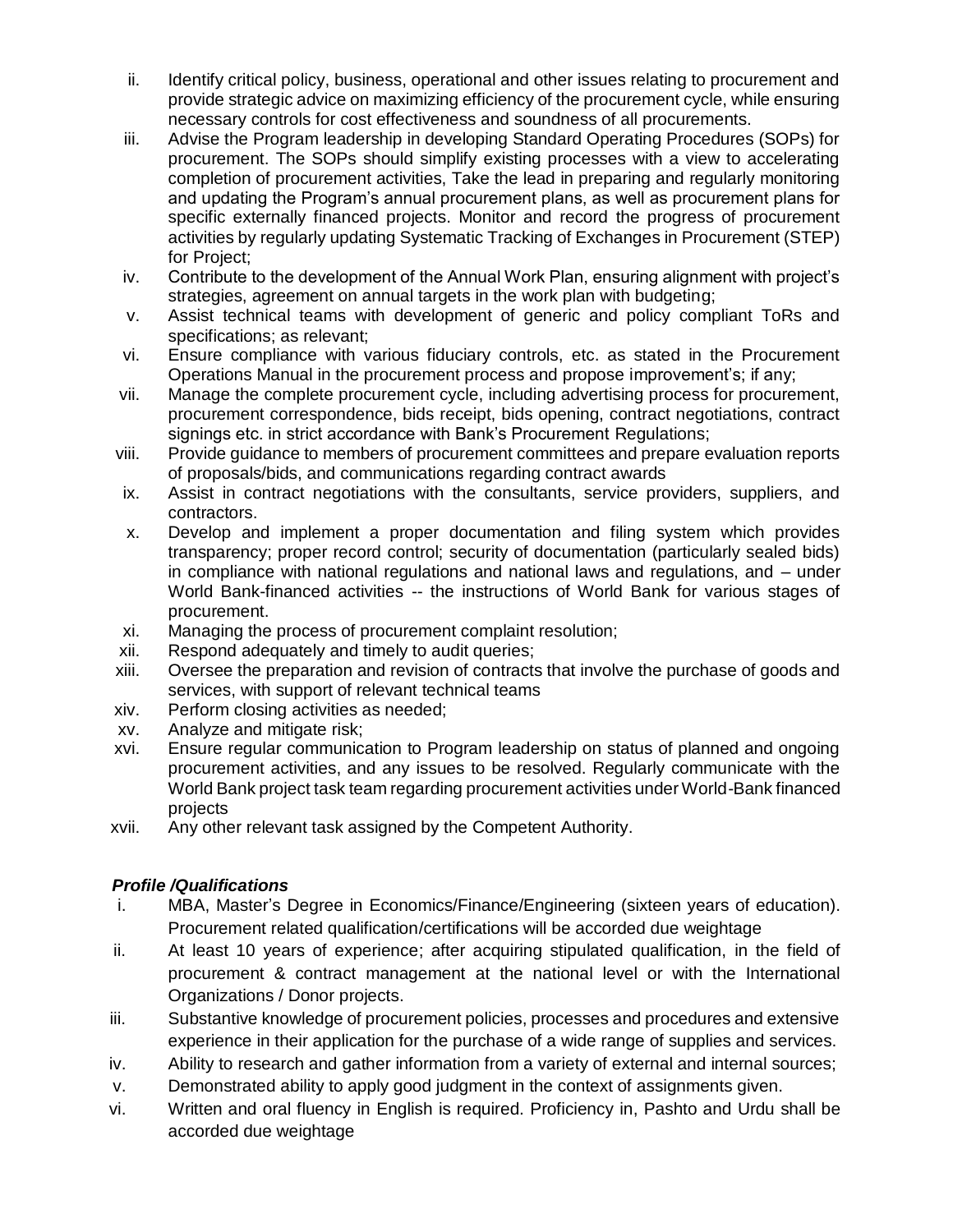- ii. Identify critical policy, business, operational and other issues relating to procurement and provide strategic advice on maximizing efficiency of the procurement cycle, while ensuring necessary controls for cost effectiveness and soundness of all procurements.
- iii. Advise the Program leadership in developing Standard Operating Procedures (SOPs) for procurement. The SOPs should simplify existing processes with a view to accelerating completion of procurement activities, Take the lead in preparing and regularly monitoring and updating the Program's annual procurement plans, as well as procurement plans for specific externally financed projects. Monitor and record the progress of procurement activities by regularly updating Systematic Tracking of Exchanges in Procurement (STEP) for Project;
- iv. Contribute to the development of the Annual Work Plan, ensuring alignment with project's strategies, agreement on annual targets in the work plan with budgeting;
- v. Assist technical teams with development of generic and policy compliant ToRs and specifications; as relevant;
- vi. Ensure compliance with various fiduciary controls, etc. as stated in the Procurement Operations Manual in the procurement process and propose improvement's; if any;
- vii. Manage the complete procurement cycle, including advertising process for procurement, procurement correspondence, bids receipt, bids opening, contract negotiations, contract signings etc. in strict accordance with Bank's Procurement Regulations;
- viii. Provide guidance to members of procurement committees and prepare evaluation reports of proposals/bids, and communications regarding contract awards
- ix. Assist in contract negotiations with the consultants, service providers, suppliers, and contractors.
- x. Develop and implement a proper documentation and filing system which provides transparency; proper record control; security of documentation (particularly sealed bids) in compliance with national regulations and national laws and regulations, and – under World Bank-financed activities -- the instructions of World Bank for various stages of procurement.
- xi. Managing the process of procurement complaint resolution;
- xii. Respond adequately and timely to audit queries;
- xiii. Oversee the preparation and revision of contracts that involve the purchase of goods and services, with support of relevant technical teams
- xiv. Perform closing activities as needed;
- xv. Analyze and mitigate risk;
- xvi. Ensure regular communication to Program leadership on status of planned and ongoing procurement activities, and any issues to be resolved. Regularly communicate with the World Bank project task team regarding procurement activities under World-Bank financed projects
- xvii. Any other relevant task assigned by the Competent Authority.

# *Profile /Qualifications*

- i. MBA, Master's Degree in Economics/Finance/Engineering (sixteen years of education). Procurement related qualification/certifications will be accorded due weightage
- ii. At least 10 years of experience; after acquiring stipulated qualification, in the field of procurement & contract management at the national level or with the International Organizations / Donor projects.
- iii. Substantive knowledge of procurement policies, processes and procedures and extensive experience in their application for the purchase of a wide range of supplies and services.
- iv. Ability to research and gather information from a variety of external and internal sources;
- v. Demonstrated ability to apply good judgment in the context of assignments given.
- vi. Written and oral fluency in English is required. Proficiency in, Pashto and Urdu shall be accorded due weightage